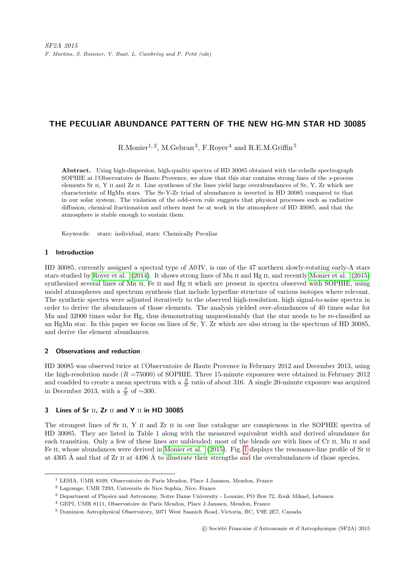# THE PECULIAR ABUNDANCE PATTERN OF THE NEW HG-MN STAR HD 30085

 $R.Monier<sup>1, 2</sup>, M.Gebran<sup>3</sup>, F.Royer<sup>4</sup> and R.E.M.Griffin<sup>5</sup>$ 

Abstract. Using high-dispersion, high-quality spectra of HD 30085 obtained with the echelle spectrograph SOPHIE at l'Observatoire de Haute Provence, we show that this star contains strong lines of the s-process elements Sr II, Y II and Zr II. Line syntheses of the lines yield large overabundances of Sr, Y, Zr which are characteristic of HgMn stars. The Sr-Y-Zr triad of abundances is inverted in HD 30085 compared to that in our solar system. The violation of the odd-even rule suggests that physical processes such as radiative diffusion, chemical fractionation and others must be at work in the atmosphere of HD 30085, and that the atmosphere is stable enough to sustain them.

Keywords: stars: individual, stars: Chemically Peculiar

### 1 Introduction

HD 30085, currently assigned a spectral type of A0 IV, is one of the 47 northern slowly-rotating early-A stars stars studied by [Royer et al.](#page-3-0) [\(2014\)](#page-3-0). It shows strong lines of Mn II and Hg II, and recently [Monier et al.](#page-3-1) [\(2015\)](#page-3-1) synthesized several lines of Mn II, Fe II and Hg II which are present in spectra observed with SOPHIE, using model atmospheres and spectrum synthesis that include hyperfine structure of various isotopes where relevant. The synthetic spectra were adjusted iteratively to the observed high-resolution, high signal-to-noise spectra in order to derive the abundances of those elements. The analysis yielded over-abundances of 40 times solar for Mn and 32000 times solar for Hg, thus demonstrating unquestionably that the star needs to be re-classified as an HgMn star. In this paper we focus on lines of Sr, Y, Zr which are also strong in the spectrum of HD 30085, and derive the element abundances.

#### 2 Observations and reduction

HD 30085 was observed twice at l'Observatoire de Haute Provence in February 2012 and December 2013, using the high-resolution mode  $(R = 75000)$  of SOPHIE. Three 15-minute exposures were obtained in February 2012 and coadded to create a mean spectrum with a  $\frac{S}{N}$  ratio of about 316. A single 20-minute exposure was acquired in December 2013, with a  $\frac{S}{N}$  of ~300.

# 3 Lines of Sr  $II$ ,  $Zr$   $II$  and Y  $II$  in HD 30085

The strongest lines of Sr II, Y II and Zr II in our line catalogue are conspicuous in the SOPHIE spectra of HD 30085. They are listed in Table 1 along with the measured equivalent width and derived abundance for each transition. Only a few of these lines are unblended; most of the blends are with lines of Cr II, Mn II and Fe II, whose abundances were derived in [Monier et al.](#page-3-1) [\(2015\)](#page-3-1). Fig. [1](#page-1-0) displays the resonance-line profile of Sr II at 4305 Å and that of  $Zr$  ii at 4496 Å to illustrate their strengths and the overabundances of those species.

<sup>1</sup> LESIA, UMR 8109, Observatoire de Paris Meudon, Place J.Janssen, Meudon, France

<sup>2</sup> Lagrange, UMR 7293, Universite de Nice Sophia, Nice, France

<sup>3</sup> Department of Physics and Astronomy, Notre Dame University - Louaize, PO Box 72, Zouk Mikael, Lebanon

<sup>4</sup> GEPI, UMR 8111, Observatoire de Paris Meudon, Place J.Janssen, Meudon, France

<sup>5</sup> Dominion Astrophysical Observatory, 5071 West Saanich Road, Victoria, BC, V9E 2E7, Canada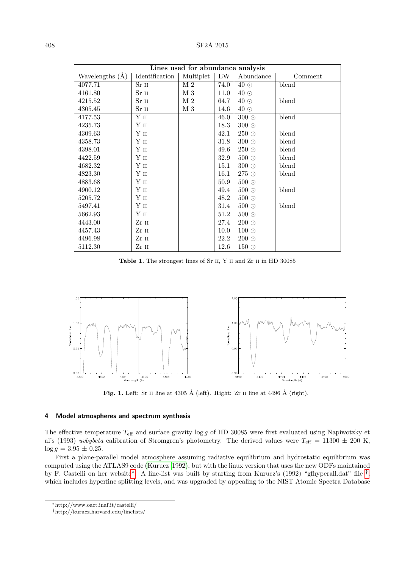| Lines used for abundance analysis |                 |           |      |               |         |
|-----------------------------------|-----------------|-----------|------|---------------|---------|
| Wavelengths (A)                   | Identification  | Multiplet | EW   | Abundance     | Comment |
| 4077.71                           | Sr 11           | M 2       | 74.0 | $40\degree$   | blend   |
| 4161.80                           | $Sr$ $II$       | M 3       | 11.0 | $40\degree$   |         |
| 4215.52                           | $Sr$ $II$       | M 2       | 64.7 | $40\degree$   | blend   |
| 4305.45                           | Sr 11           | M 3       | 14.6 | $40\degree$   |         |
| 4177.53                           | Y II            |           | 46.0 | $300$ $\odot$ | blend   |
| 4235.73                           | Y II            |           | 18.3 | $300\ \odot$  |         |
| 4309.63                           | $\mathbf Y$ II  |           | 42.1 | $250\circ$    | blend   |
| 4358.73                           | $\mathbf Y$ II  |           | 31.8 | $300\ \odot$  | blend   |
| 4398.01                           | $\mathbf Y$ II  |           | 49.6 | $250\,\circ$  | blend   |
| 4422.59                           | Y II            |           | 32.9 | $500$ $\odot$ | blend   |
| 4682.32                           | $\mathbf Y$ II  |           | 15.1 | $300$ $\odot$ | blend   |
| 4823.30                           | $\mathbf Y$ II  |           | 16.1 | $275\circ$    | blend   |
| 4883.68                           | $\mathbf Y$ II  |           | 50.9 | $500\,\odot$  |         |
| 4900.12                           | Yп              |           | 49.4 | $500\circ$    | blend   |
| 5205.72                           | $\mathbf Y$ II  |           | 48.2 | $500\circ$    |         |
| 5497.41                           | $\mathbf Y$ II  |           | 31.4 | $500\circ$    | blend   |
| 5662.93                           | $\mathbf{Y}$ II |           | 51.2 | $500\circ$    |         |
| 4443.00                           | Zr II           |           | 27.4 | $200$ $\odot$ |         |
| 4457.43                           | Zr 11           |           | 10.0 | $100\degree$  |         |
| 4496.98                           | Zr II           |           | 22.2 | $200\degree$  |         |
| 5112.30                           | Zr 11           |           | 12.6 | $150\,\circ$  |         |

Table 1. The strongest lines of Sr II, Y II and Zr II in HD 30085



<span id="page-1-0"></span>Fig. 1. Left: Sr II line at 4305 Å (left). Right: Zr II line at 4496 Å (right).

## 4 Model atmospheres and spectrum synthesis

The effective temperature  $T_{\text{eff}}$  and surface gravity log g of HD 30085 were first evaluated using Napiwotzky et al's (1993) uvbybeta calibration of Stromgren's photometry. The derived values were  $T_{\text{eff}} = 11300 \pm 200$  K,  $\log g = 3.95 \pm 0.25.$ 

First a plane-parallel model atmosphere assuming radiative equilibrium and hydrostatic equilibrium was computed using the ATLAS9 code [\(Kurucz 1992\)](#page-3-2), but with the linux version that uses the new ODFs maintained by F. Castelli on her website[∗](#page-1-1) . A line-list was built by starting from Kurucz's (1992) "gfhyperall.dat" file [†](#page-1-2) , which includes hyperfine splitting levels, and was upgraded by appealing to the NIST Atomic Spectra Database

<span id="page-1-1"></span><sup>∗</sup>http://www.oact.inaf.it/castelli/

<span id="page-1-2"></span><sup>†</sup>http://kurucz.harvard.edu/linelists/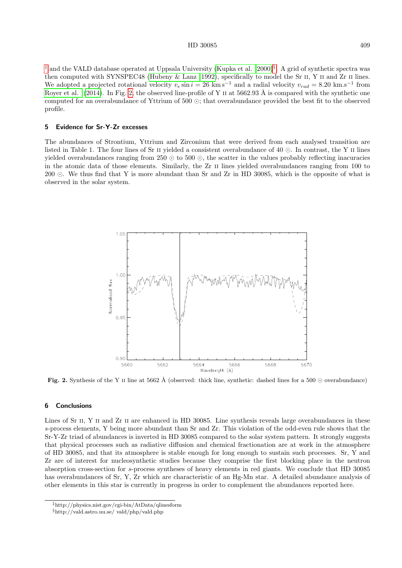#### HD 30085 409

[‡](#page-2-0) and the VALD database operated at Uppsala University [\(Kupka et al. 2000\)](#page-3-3)[§](#page-2-1) . A grid of synthetic spectra was then computed with SYNSPEC48 [\(Hubeny & Lanz 1992\)](#page-3-4), specifically to model the Sr II, Y II and Zr II lines. We adopted a projected rotational velocity  $v_e \sin i = 26 \text{ km s}^{-1}$  and a radial velocity  $v_{rad} = 8.20 \text{ km.s}^{-1}$  from [Royer et al.](#page-3-0) [\(2014\)](#page-3-0). In Fig. [2,](#page-2-2) the observed line-profile of Y II at 5662.93 Å is compared with the synthetic one computed for an overabundance of Yttrium of  $500 \odot$ ; that overabundance provided the best fit to the observed profile.

#### 5 Evidence for Sr-Y-Zr excesses

The abundances of Strontium, Yttrium and Zirconium that were derived from each analysed transition are listed in Table 1. The four lines of Sr  $\scriptstyle\rm II$  yielded a consistent overabundance of 40  $\odot$ . In contrast, the Y  $\scriptstyle\rm II$  lines yielded overabundances ranging from  $250 \odot$  to  $500 \odot$ , the scatter in the values probably reflecting inacuracies in the atomic data of those elements. Similarly, the Zr ii lines yielded overabundances ranging from 100 to 200 . We thus find that Y is more abundant than Sr and Zr in HD 30085, which is the opposite of what is observed in the solar system.



<span id="page-2-2"></span>Fig. 2. Synthesis of the Y II line at 5662 Å (observed: thick line, synthetic: dashed lines for a 500  $\odot$  overabundance)

#### 6 Conclusions

Lines of Sr II, Y II and Zr II are enhanced in HD 30085. Line synthesis reveals large overabundances in these s-process elements, Y being more abundant than Sr and Zr. This violation of the odd-even rule shows that the Sr-Y-Zr triad of abundances is inverted in HD 30085 compared to the solar system pattern. It strongly suggests that physical processes such as radiative diffusion and chemical fractionation are at work in the atmosphere of HD 30085, and that its atmosphere is stable enough for long enough to sustain such processes. Sr, Y and Zr are of interest for nucleosynthetic studies because they comprise the first blocking place in the neutron absorption cross-section for s-process syntheses of heavy elements in red giants. We conclude that HD 30085 has overabundances of Sr, Y, Zr which are characteristic of an Hg-Mn star. A detailed abundance analysis of other elements in this star is currently in progress in order to complement the abundances reported here.

<span id="page-2-0"></span><sup>‡</sup>http://physics.nist.gov/cgi-bin/AtData/qlinesform

<span id="page-2-1"></span><sup>§</sup>http://vald.astro.uu.se/ vald/php/vald.php